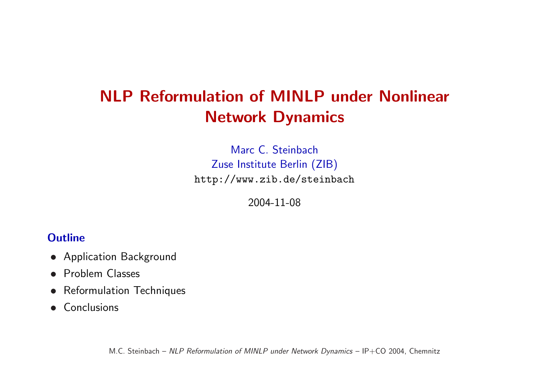# NLP Reformulation of MINLP under Nonlinear Network Dynamics

Marc C. Steinbach Zuse Institute Berlin (ZIB) http://www.zib.de/steinbach

2004-11-08

#### **Outline**

- Application Background
- Problem Classes
- Reformulation Techniques
- Conclusions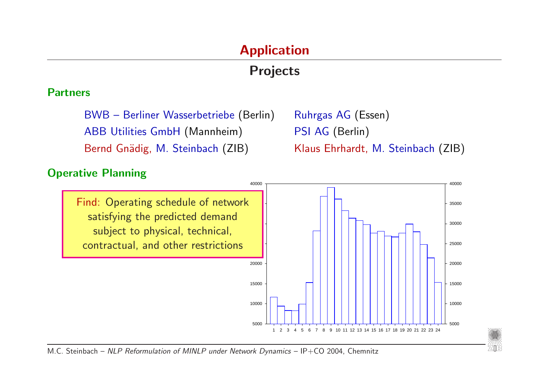# Application

# Projects

#### Partners

BWB – Berliner Wasserbetriebe (Berlin) Ruhrgas AG (Essen) ABB Utilities GmbH (Mannheim) PSI AG (Berlin) Bernd Gnädig, M. Steinbach (ZIB) Klaus Ehrhardt, M. Steinbach (ZIB)

缆脂

#### Operative Planning

Find: Operating schedule of network satisfying the predicted demand subject to physical, technical, contractual, and other restrictions

5000 10000 15000 20000 25000 30000 35000 40000 1 2 3 4 5 6 7 8 9 10 11 12 13 14 15 16 17 18 19 20 21 22 23 24 5000 10000 15000 20000 25000 30000 35000 40000

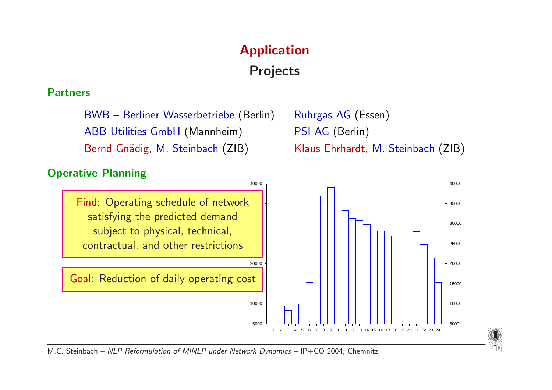# Application

# Projects

#### Partners

BWB - Berliner Wasserbetriebe (Berlin) Ruhrgas AG (Essen) ABB Utilities GmbH (Mannheim) PSI AG (Berlin) Bernd Gnädig, M. Steinbach (ZIB) Klaus Ehrhardt, M. Steinbach (ZIB)

*"*"

#### Operative Planning

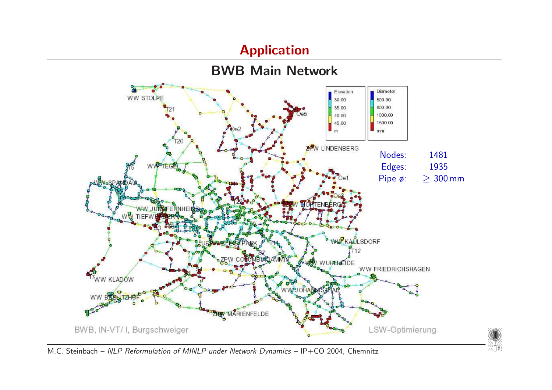#### Application



∕∕iiii∖∖<br>ZIB

M.C. Steinbach - NLP Reformulation of MINLP under Network Dynamics - IP+CO 2004, Chemnitz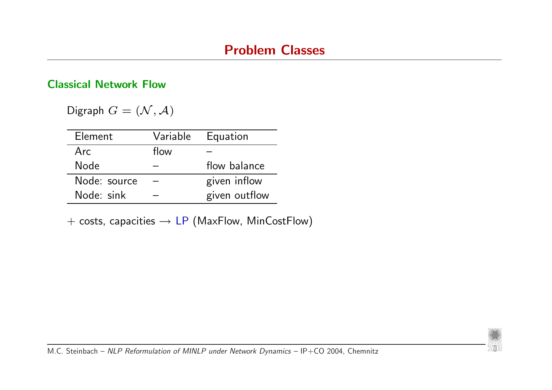#### Classical Network Flow

Digraph  $G = (\mathcal{N}, \mathcal{A})$ 

| Element      | Variable | Equation      |
|--------------|----------|---------------|
| Arc          | flow     |               |
| <b>Node</b>  |          | flow balance  |
| Node: source |          | given inflow  |
| Node: sink   |          | given outflow |

 $+$  costs, capacities  $\rightarrow$  LP (MaxFlow, MinCostFlow)

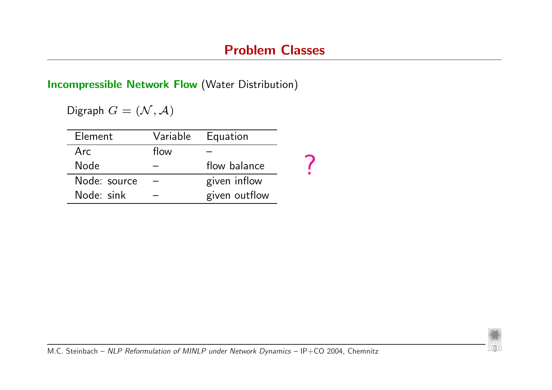Incompressible Network Flow (Water Distribution)

Digraph  $G = (\mathcal{N}, \mathcal{A})$ 

| Element      |      | Variable Equation |  |
|--------------|------|-------------------|--|
| Arc          | flow |                   |  |
| <b>Node</b>  |      | flow balance      |  |
| Node: source |      | given inflow      |  |
| Node: sink   |      | given outflow     |  |

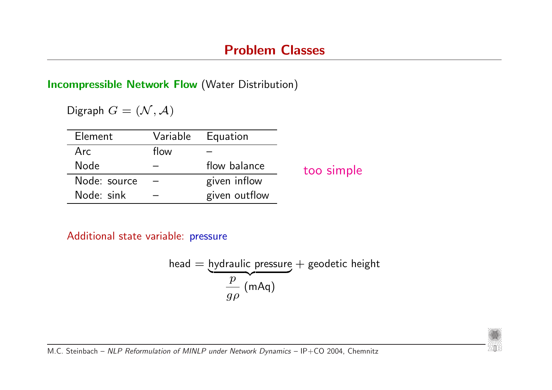Incompressible Network Flow (Water Distribution)

Digraph  $G = (\mathcal{N}, \mathcal{A})$ 

| Element      | Variable | Equation      |            |
|--------------|----------|---------------|------------|
| Arc          | flow     |               |            |
| <b>Node</b>  |          | flow balance  | too simple |
| Node: source |          | given inflow  |            |
| Node: sink   |          | given outflow |            |

Additional state variable: pressure

head = hydraulic pressure + geodetic height  
\n
$$
\frac{p}{g\rho} \text{ (mAq)}
$$

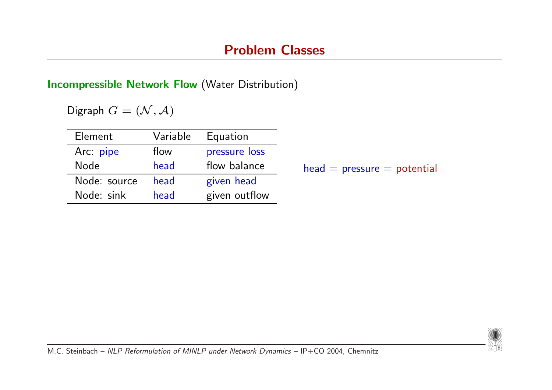$presure = potential$ 

#### Incompressible Network Flow (Water Distribution)

Digraph  $G = (\mathcal{N}, \mathcal{A})$ 

| Element      | Variable | Equation      |          |
|--------------|----------|---------------|----------|
| Arc: pipe    | flow     | pressure loss |          |
| <b>Node</b>  | head     | flow balance  | $head =$ |
| Node: source | head     | given head    |          |
| Node: sink   | head     | given outflow |          |
|              |          |               |          |

ZIB<br>ZIB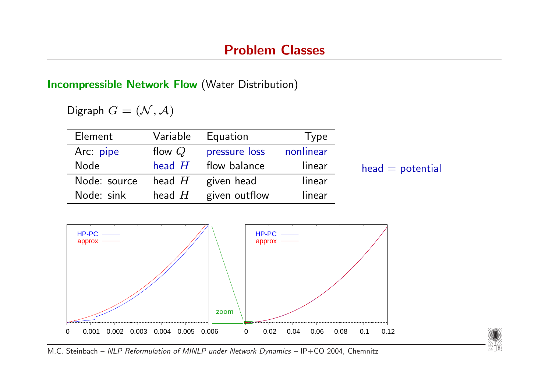#### Incompressible Network Flow (Water Distribution)

Digraph  $G = (\mathcal{N}, \mathcal{A})$ 

| Element      | Variable | Equation      | Type      |                    |
|--------------|----------|---------------|-----------|--------------------|
| Arc: pipe    | flow $Q$ | pressure loss | nonlinear |                    |
| <b>Node</b>  | head $H$ | flow balance  | linear    | $head = potential$ |
| Node: source | head $H$ | given head    | linear    |                    |
| Node: sink   | head $H$ | given outflow | linear    |                    |



∕∕iiii∖∖<br>ZIB

M.C. Steinbach - NLP Reformulation of MINLP under Network Dynamics - IP+CO 2004, Chemnitz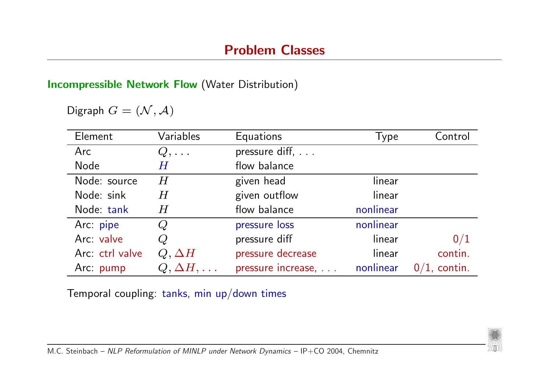#### Incompressible Network Flow (Water Distribution)

Digraph  $G = (\mathcal{N}, \mathcal{A})$ 

| Element         | Variables             | Equations          | Type      | Control         |
|-----------------|-----------------------|--------------------|-----------|-----------------|
| Arc             | $Q, \ldots$           | pressure diff,     |           |                 |
| <b>Node</b>     | $\boldsymbol{H}$      | flow balance       |           |                 |
| Node: source    | $H \,$                | given head         | linear    |                 |
| Node: sink      | $\,H$                 | given outflow      | linear    |                 |
| Node: tank      | $\,H$                 | flow balance       | nonlinear |                 |
| Arc: pipe       | Q                     | pressure loss      | nonlinear |                 |
| Arc: valve      | $\cal Q$              | pressure diff      | linear    | 0/1             |
| Arc: ctrl valve | $Q, \Delta H$         | pressure decrease  | linear    | contin.         |
| Arc: pump       | $Q, \Delta H, \ldots$ | pressure increase, | nonlinear | $0/1$ , contin. |

Temporal coupling: tanks, min up/down times

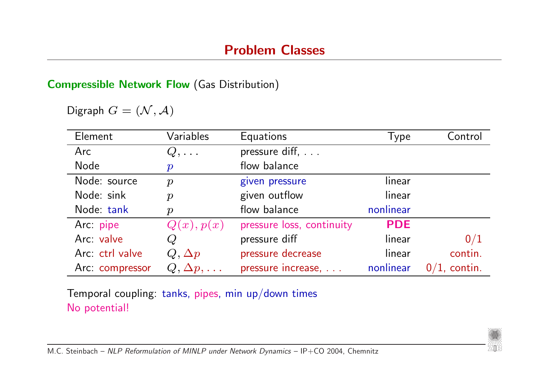#### Compressible Network Flow (Gas Distribution)

Digraph  $G = (\mathcal{N}, \mathcal{A})$ 

| Element         | Variables             | <b>Equations</b>          | Type       | Control   |
|-----------------|-----------------------|---------------------------|------------|-----------|
| Arc             | $Q, \ldots$           | pressure diff,            |            |           |
| <b>Node</b>     | $\boldsymbol{p}$      | flow balance              |            |           |
| Node: source    | $\boldsymbol{p}$      | given pressure            | linear     |           |
| Node: sink      | $\boldsymbol{p}$      | given outflow             | linear     |           |
| Node: tank      | $\boldsymbol{p}$      | flow balance              | nonlinear  |           |
| Arc: pipe       | Q(x), p(x)            | pressure loss, continuity | <b>PDE</b> |           |
| Arc: valve      |                       | pressure diff             | linear     | 0/1       |
| Arc: ctrl valve | $Q, \Delta p$         | pressure decrease         | linear     | contin.   |
| Arc: compressor | $Q, \Delta p, \ldots$ | pressure increase,        | nonlinear  | , contin. |

Temporal coupling: tanks, pipes, min up/down times No potential!

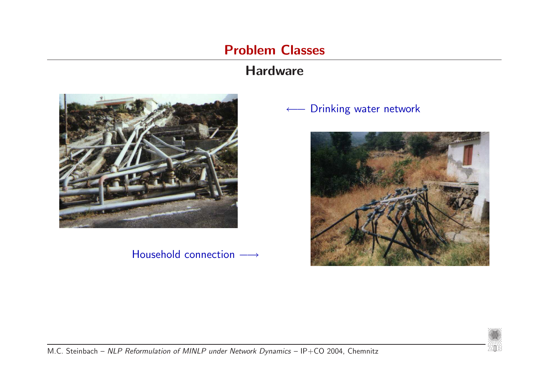# Problem Classes

## **Hardware**



#### Household connection  $→$

#### ← Drinking water network



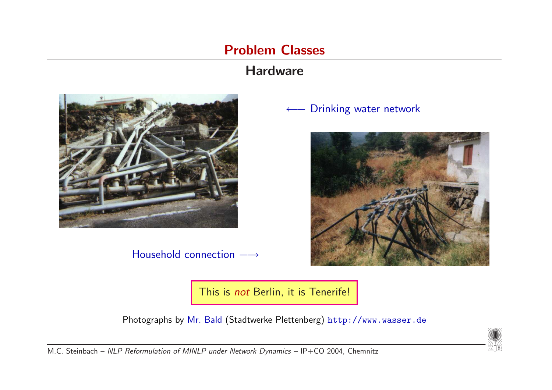## Problem Classes

## **Hardware**



Household connection  $→$ 

#### Drinking water network



This is not Berlin, it is Tenerife!

Photographs by Mr. Bald (Stadtwerke Plettenberg) http://www.wasser.de

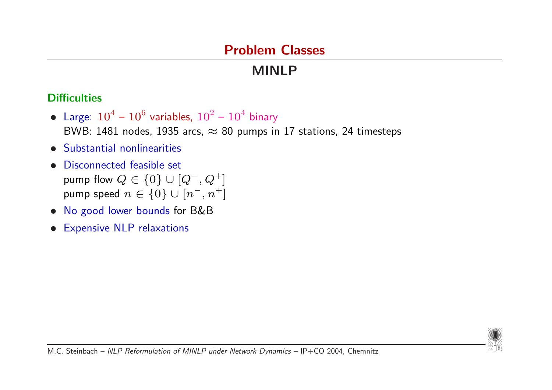# Problem Classes

# MINLP

#### **Difficulties**

- Large:  $10^4 10^6$  variables,  $10^2 10^4$  binary BWB: 1481 nodes, 1935 arcs,  $\approx 80$  pumps in 17 stations, 24 timesteps
- Substantial nonlinearities
- Disconnected feasible set pump flow  $Q \in \{0\} \cup [Q^-, Q^+]$ pump speed  $n \in \{0\} \cup [n^-,n^+]$
- No good lower bounds for B&B
- Expensive NLP relaxations

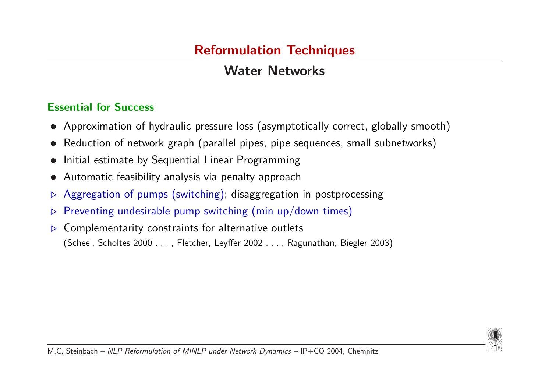# Water Networks

#### Essential for Success

- Approximation of hydraulic pressure loss (asymptotically correct, globally smooth)
- Reduction of network graph (parallel pipes, pipe sequences, small subnetworks)
- Initial estimate by Sequential Linear Programming
- Automatic feasibility analysis via penalty approach
- . Aggregation of pumps (switching); disaggregation in postprocessing
- $\triangleright$  Preventing undesirable pump switching (min up/down times)
- $\triangleright$  Complementarity constraints for alternative outlets (Scheel, Scholtes 2000 . . . , Fletcher, Leyffer 2002 . . . , Ragunathan, Biegler 2003)

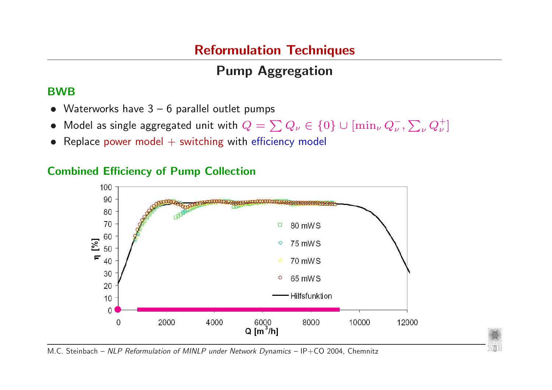# Pump Aggregation

#### BWB

- Waterworks have  $3 6$  parallel outlet pumps
- Model as single aggregated unit with  $Q = \sum Q_{\nu} \in \{0\} \cup [\min_{\nu} Q_{\nu}^{-},$  $\overline{ }$  $_{\nu}$   $Q^{+}_{\nu}]$
- Replace power model  $+$  switching with efficiency model

### Combined Efficiency of Pump Collection



ZZINY<br>ZZITE

M.C. Steinbach – NLP Reformulation of MINLP under Network Dynamics – IP+CO 2004, Chemnitz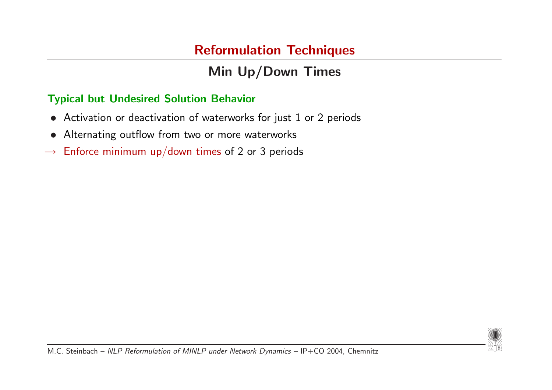# Min Up/Down Times

#### Typical but Undesired Solution Behavior

- Activation or deactivation of waterworks for just 1 or 2 periods
- Alternating outflow from two or more waterworks
- $\rightarrow$  Enforce minimum up/down times of 2 or 3 periods

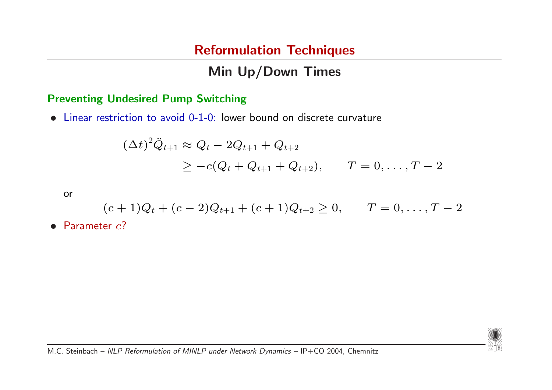# Min Up/Down Times

#### Preventing Undesired Pump Switching

• Linear restriction to avoid 0-1-0: lower bound on discrete curvature

$$
(\Delta t)^2 \ddot{Q}_{t+1} \approx Q_t - 2Q_{t+1} + Q_{t+2}
$$
  
\n
$$
\geq -c(Q_t + Q_{t+1} + Q_{t+2}), \qquad T = 0, ..., T-2
$$

or

$$
(c+1)Q_t + (c-2)Q_{t+1} + (c+1)Q_{t+2} \ge 0, \qquad T = 0, \ldots, T-2
$$

• Parameter  $c$ ?

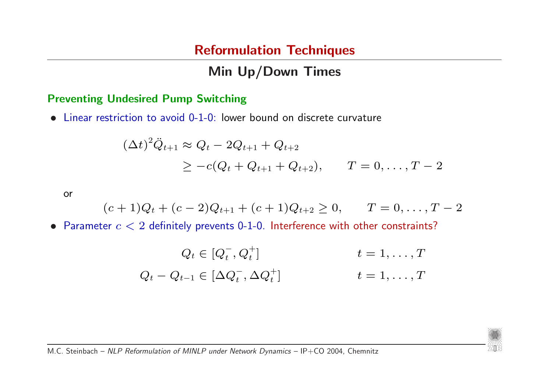# Min Up/Down Times

#### Preventing Undesired Pump Switching

• Linear restriction to avoid 0-1-0: lower bound on discrete curvature

$$
(\Delta t)^2 \ddot{Q}_{t+1} \approx Q_t - 2Q_{t+1} + Q_{t+2}
$$
  
\n
$$
\geq -c(Q_t + Q_{t+1} + Q_{t+2}), \qquad T = 0, ..., T-2
$$

or

$$
(c+1)Q_t + (c-2)Q_{t+1} + (c+1)Q_{t+2} \ge 0, \qquad T = 0, \ldots, T-2
$$

• Parameter  $c < 2$  definitely prevents 0-1-0. Interference with other constraints?

$$
Q_t \in [Q_t^-, Q_t^+] \qquad \qquad t = 1, \dots, T
$$
  

$$
Q_t - Q_{t-1} \in [\Delta Q_t^-, \Delta Q_t^+] \qquad \qquad t = 1, \dots, T
$$

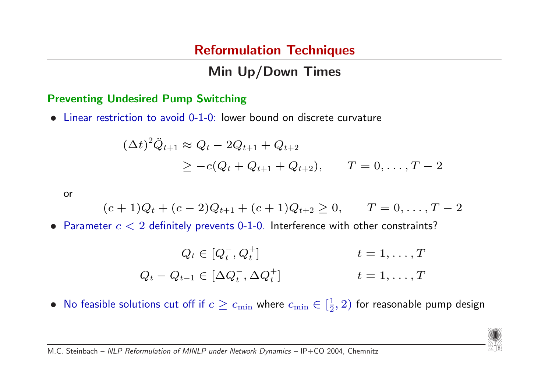# Min Up/Down Times

#### Preventing Undesired Pump Switching

• Linear restriction to avoid 0-1-0: lower bound on discrete curvature

$$
(\Delta t)^2 \ddot{Q}_{t+1} \approx Q_t - 2Q_{t+1} + Q_{t+2}
$$
  
\n
$$
\geq -c(Q_t + Q_{t+1} + Q_{t+2}), \qquad T = 0, ..., T-2
$$

or

$$
(c+1)Q_t + (c-2)Q_{t+1} + (c+1)Q_{t+2} \ge 0, \qquad T = 0, ..., T-2
$$

• Parameter  $c < 2$  definitely prevents 0-1-0. Interference with other constraints?

$$
Q_t \in [Q_t^-, Q_t^+] \qquad \qquad t = 1, \dots, T
$$
  

$$
Q_t - Q_{t-1} \in [\Delta Q_t^-, \Delta Q_t^+] \qquad \qquad t = 1, \dots, T
$$

• No feasible solutions cut off if  $c \geq c_{\text{min}}$  where  $c_{\text{min}} \in \left[\frac{1}{2}\right]$  $(\frac{1}{2},2)$  for reasonable pump design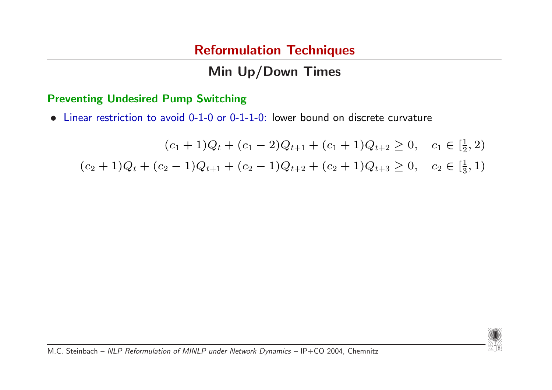# Min Up/Down Times

#### Preventing Undesired Pump Switching

• Linear restriction to avoid 0-1-0 or 0-1-1-0: lower bound on discrete curvature

 $(c_1+1)Q_t + (c_1-2)Q_{t+1} + (c_1+1)Q_{t+2} \geq 0$ ,  $c_1 \in \left[\frac{1}{2}\right]$  $\frac{1}{2}, 2)$  $(c_2+1)Q_t + (c_2-1)Q_{t+1} + (c_2-1)Q_{t+2} + (c_2+1)Q_{t+3} \geq 0$ ,  $c_2 \in \left[\frac{1}{3}\right]$  $\frac{1}{3}, 1)$ 

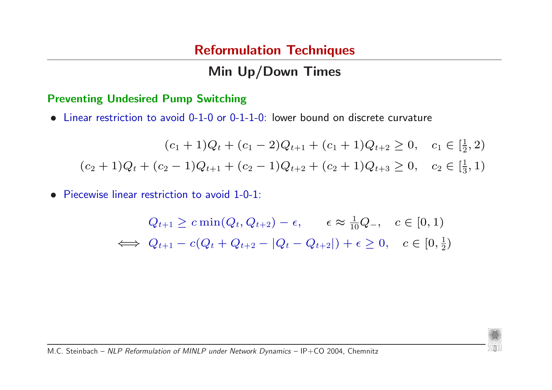# Min Up/Down Times

#### Preventing Undesired Pump Switching

• Linear restriction to avoid 0-1-0 or 0-1-1-0: lower bound on discrete curvature

$$
(c_1 + 1)Q_t + (c_1 - 2)Q_{t+1} + (c_1 + 1)Q_{t+2} \ge 0, \quad c_1 \in \left[\frac{1}{2}, 2\right)
$$

$$
(c_2 + 1)Q_t + (c_2 - 1)Q_{t+1} + (c_2 - 1)Q_{t+2} + (c_2 + 1)Q_{t+3} \ge 0, \quad c_2 \in \left[\frac{1}{3}, 1\right)
$$

• Piecewise linear restriction to avoid 1-0-1:

$$
Q_{t+1} \geq c \min(Q_t, Q_{t+2}) - \epsilon, \quad \epsilon \approx \frac{1}{10} Q_-, \quad c \in [0, 1)
$$
  

$$
\iff Q_{t+1} - c(Q_t + Q_{t+2} - |Q_t - Q_{t+2}|) + \epsilon \geq 0, \quad c \in [0, \frac{1}{2})
$$

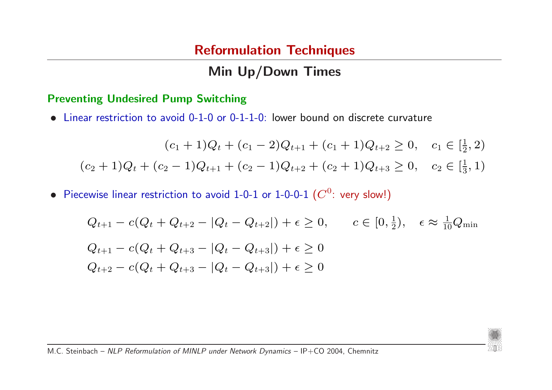# Min Up/Down Times

#### Preventing Undesired Pump Switching

• Linear restriction to avoid 0-1-0 or 0-1-1-0: lower bound on discrete curvature

$$
(c_1 + 1)Q_t + (c_1 - 2)Q_{t+1} + (c_1 + 1)Q_{t+2} \ge 0, \quad c_1 \in \left[\frac{1}{2}, 2\right)
$$

$$
(c_2 + 1)Q_t + (c_2 - 1)Q_{t+1} + (c_2 - 1)Q_{t+2} + (c_2 + 1)Q_{t+3} \ge 0, \quad c_2 \in \left[\frac{1}{3}, 1\right)
$$

• Piecewise linear restriction to avoid 1-0-1 or 1-0-0-1  $(C^0:$  very slow!)

$$
Q_{t+1} - c(Q_t + Q_{t+2} - |Q_t - Q_{t+2}|) + \epsilon \ge 0, \qquad c \in [0, \frac{1}{2}), \quad \epsilon \approx \frac{1}{10}Q_{\min}
$$
  

$$
Q_{t+1} - c(Q_t + Q_{t+3} - |Q_t - Q_{t+3}|) + \epsilon \ge 0
$$
  

$$
Q_{t+2} - c(Q_t + Q_{t+3} - |Q_t - Q_{t+3}|) + \epsilon \ge 0
$$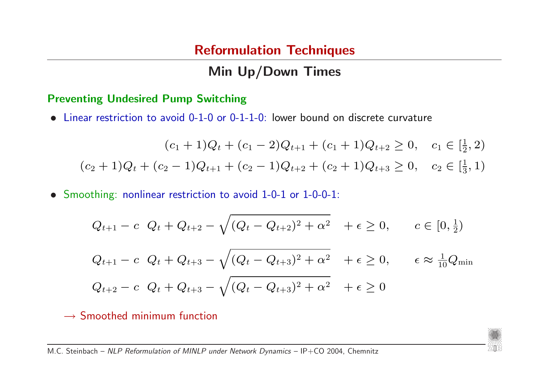# Min Up/Down Times

#### Preventing Undesired Pump Switching

• Linear restriction to avoid 0-1-0 or 0-1-1-0: lower bound on discrete curvature

$$
(c_1 + 1)Q_t + (c_1 - 2)Q_{t+1} + (c_1 + 1)Q_{t+2} \ge 0, \quad c_1 \in \left[\frac{1}{2}, 2\right)
$$

$$
(c_2 + 1)Q_t + (c_2 - 1)Q_{t+1} + (c_2 - 1)Q_{t+2} + (c_2 + 1)Q_{t+3} \ge 0, \quad c_2 \in \left[\frac{1}{3}, 1\right)
$$

• Smoothing: nonlinear restriction to avoid 1-0-1 or 1-0-0-1:

$$
Q_{t+1} - c \quad Q_t + Q_{t+2} - \sqrt{(Q_t - Q_{t+2})^2 + \alpha^2} \quad + \epsilon \ge 0, \qquad c \in [0, \frac{1}{2})
$$

$$
Q_{t+1} - c \t Q_t + Q_{t+3} - \sqrt{(Q_t - Q_{t+3})^2 + \alpha^2} + \epsilon \ge 0, \t \epsilon \approx \frac{1}{10}Q_{\min}
$$
  

$$
Q_{t+2} - c \t Q_t + Q_{t+3} - \sqrt{(Q_t - Q_{t+3})^2 + \alpha^2} + \epsilon \ge 0
$$

ZANNY<br>720e

 $\rightarrow$  Smoothed minimum function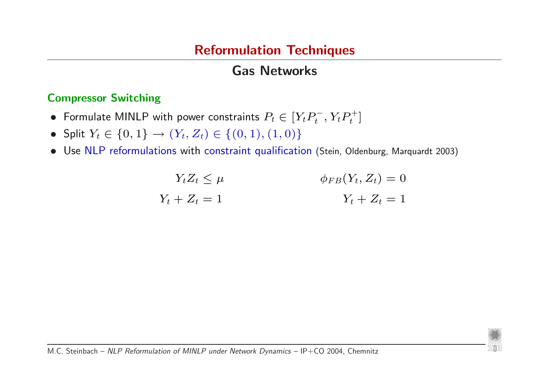# Gas Networks

#### Compressor Switching

- Formulate MINLP with power constraints  $P_t \in [Y_t P_t^{-1}]$  $t^-, Y_t P_t^+$  $_t^+$ ]
- Split  $Y_t \in \{0, 1\} \rightarrow (Y_t, Z_t) \in \{(0, 1), (1, 0)\}\$
- Use NLP reformulations with constraint qualification (Stein, Oldenburg, Marquardt 2003)

$$
Y_t Z_t \le \mu \qquad \qquad \phi_{FB}(Y_t, Z_t) = 0
$$

$$
Y_t + Z_t = 1 \qquad \qquad Y_t + Z_t = 1
$$

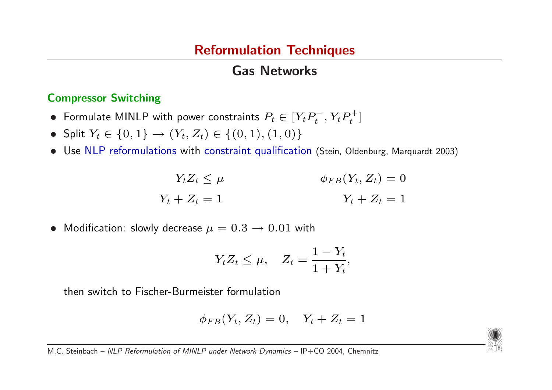## Gas Networks

#### Compressor Switching

- Formulate MINLP with power constraints  $P_t \in [Y_t P_t^{-1}]$  $t^-, Y_t P_t^+$  $_t^+$ ]
- Split  $Y_t \in \{0, 1\} \rightarrow (Y_t, Z_t) \in \{(0, 1), (1, 0)\}\$
- Use NLP reformulations with constraint qualification (Stein, Oldenburg, Marquardt 2003)

$$
Y_t Z_t \le \mu \qquad \qquad \phi_{FB}(Y_t, Z_t) = 0
$$

$$
Y_t + Z_t = 1 \qquad \qquad Y_t + Z_t = 1
$$

• Modification: slowly decrease  $\mu = 0.3 \rightarrow 0.01$  with

$$
Y_t Z_t \le \mu, \quad Z_t = \frac{1 - Y_t}{1 + Y_t},
$$

then switch to Fischer-Burmeister formulation

$$
\phi_{FB}(Y_t, Z_t) = 0, \quad Y_t + Z_t = 1
$$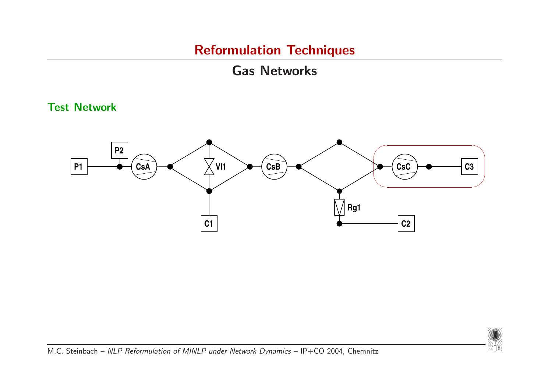# Gas Networks

#### Test Network



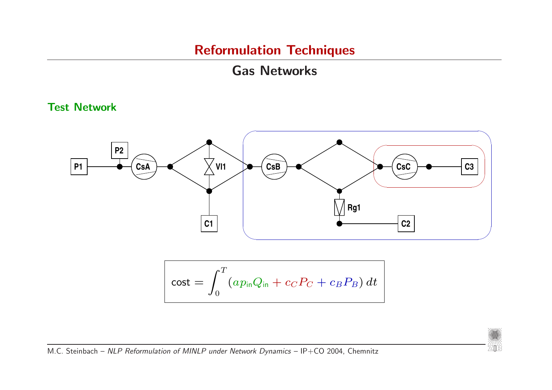# Gas Networks

#### Test Network



$$
\mathrm{cost} = \int_0^T (a p_{\mathrm{in}} Q_{\mathrm{in}} + c_C P_C + c_B P_B) dt
$$

*m*m<br>ZIB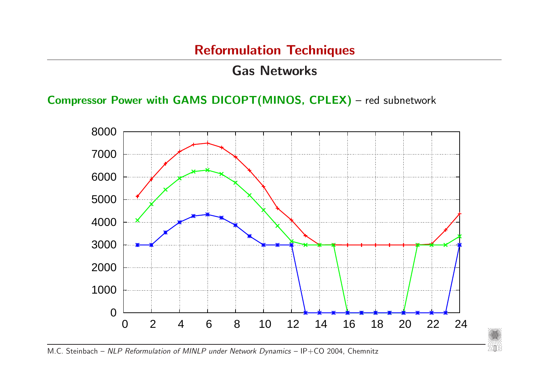### Gas Networks

Compressor Power with GAMS DICOPT(MINOS, CPLEX) – red subnetwork



////////<br>7418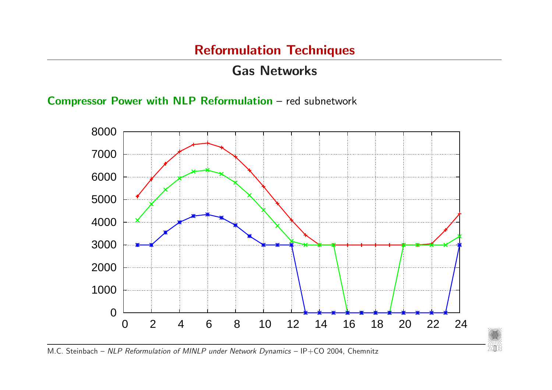### Gas Networks

Compressor Power with NLP Reformulation – red subnetwork



*//*//////<br>ZIB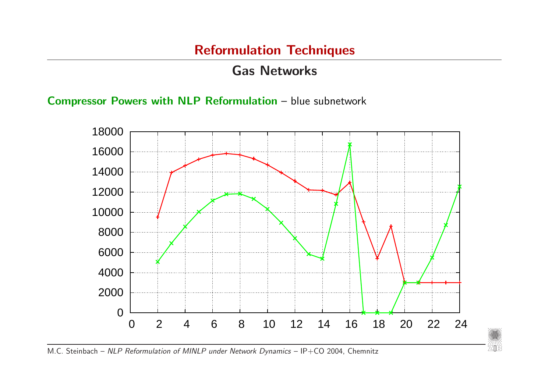### Gas Networks

Compressor Powers with NLP Reformulation – blue subnetwork



////////<br>7418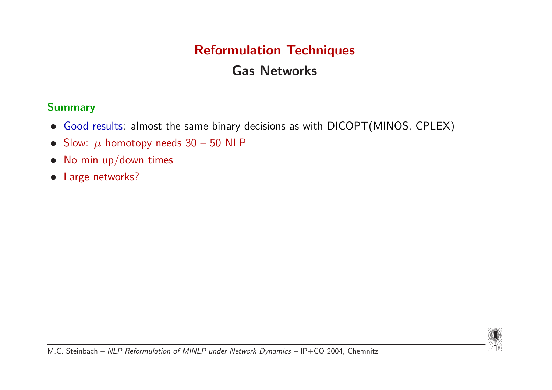# Gas Networks

#### Summary

- Good results: almost the same binary decisions as with DICOPT(MINOS, CPLEX)
- Slow:  $\mu$  homotopy needs 30 50 NLP
- No min up/down times
- Large networks?

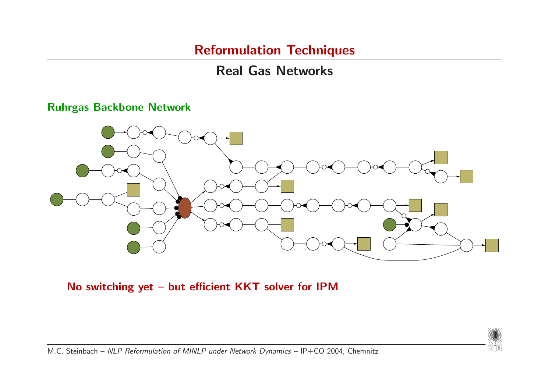# Real Gas Networks

#### Ruhrgas Backbone Network



No switching yet – but efficient KKT solver for IPM

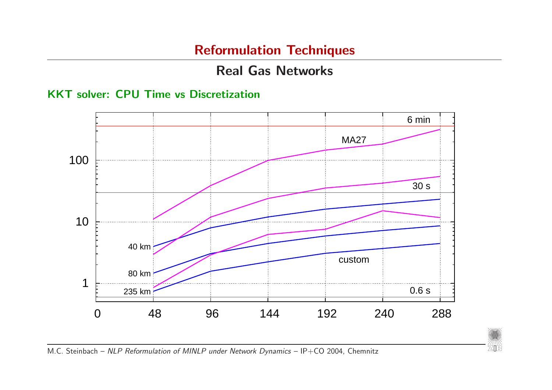# Real Gas Networks

KKT solver: CPU Time vs Discretization



*20*08<br>乙lle: